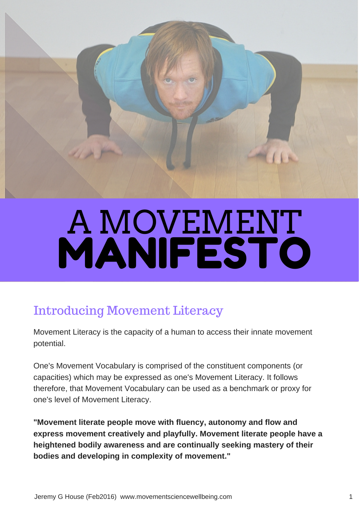

# A MOVEMENT. MANIFESTO

#### Introducing Movement Literacy

Movement Literacy is the capacity of a human to access their innate movement potential.

One's Movement Vocabulary is comprised of the constituent components (or capacities) which may be expressed as one's Movement Literacy. It follows therefore, that Movement Vocabulary can be used as a benchmark or proxy for one's level of Movement Literacy.

**"Movement literate people move with fluency, autonomy and flow and express movement creatively and playfully. Movement literate people have a heightened bodily awareness and are continually seeking mastery of their bodies and developing in complexity of movement."**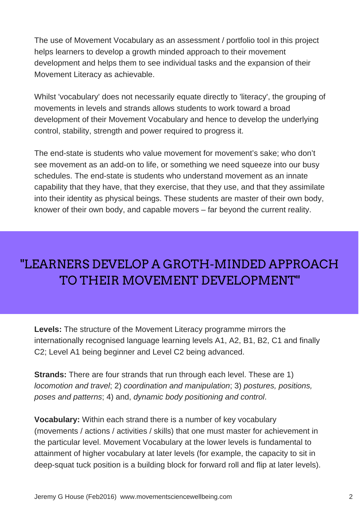The use of Movement Vocabulary as an assessment / portfolio tool in this project helps learners to develop a growth minded approach to their movement development and helps them to see individual tasks and the expansion of their Movement Literacy as achievable.

Whilst 'vocabulary' does not necessarily equate directly to 'literacy', the grouping of movements in levels and strands allows students to work toward a broad development of their Movement Vocabulary and hence to develop the underlying control, stability, strength and power required to progress it.

The end-state is students who value movement for movement's sake; who don't see movement as an add-on to life, or something we need squeeze into our busy schedules. The end-state is students who understand movement as an innate capability that they have, that they exercise, that they use, and that they assimilate into their identity as physical beings. These students are master of their own body, knower of their own body, and capable movers – far beyond the current reality.

### "LEARNERS DEVELOP A GROTH-MINDED APPROACH TO THEIR MOVEMENT DEVELOPMENT"

**Levels:** The structure of the Movement Literacy programme mirrors the internationally recognised language learning levels A1, A2, B1, B2, C1 and finally C2; Level A1 being beginner and Level C2 being advanced.

**Strands:** There are four strands that run through each level. These are 1) *locomotion and travel*; 2) *coordination and manipulation*; 3) *postures, positions, poses and patterns*; 4) and, *dynamic body positioning and control*.

**Vocabulary:** Within each strand there is a number of key vocabulary (movements / actions / activities / skills) that one must master for achievement in the particular level. Movement Vocabulary at the lower levels is fundamental to attainment of higher vocabulary at later levels (for example, the capacity to sit in deep-squat tuck position is a building block for forward roll and flip at later levels).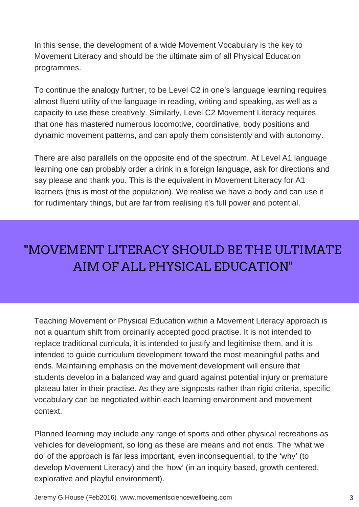In this sense, the development of a wide Movement Vocabulary is the key to Movement Literacy and should be the ultimate aim of all Physical Education programmes.

To continue the analogy further, to be Level C2 in one's language learning requires almost fluent utility of the language in reading, writing and speaking, as well as a capacity to use these creatively. Similarly, Level C2 Movement Literacy requires that one has mastered numerous locomotive, coordinative, body positions and dynamic movement patterns, and can apply them consistently and with autonomy.

There are also parallels on the opposite end of the spectrum. At Level A1 language learning one can probably order a drink in a foreign language, ask for directions and say please and thank you. This is the equivalent in Movement Literacy for A1 learners (this is most of the population). We realise we have a body and can use it for rudimentary things, but are far from realising it's full power and potential.

### "MOVEMENT LITERACY SHOULD BE THE ULTIMATE AIM OF ALL PHYSICAL EDUCATION"

Teaching Movement or Physical Education within a Movement Literacy approach is not a quantum shift from ordinarily accepted good practise. It is not intended to replace traditional curricula, it is intended to justify and legitimise them, and it is intended to guide curriculum development toward the most meaningful paths and ends. Maintaining emphasis on the movement development will ensure that students develop in a balanced way and guard against potential injury or premature plateau later in their practise. As they are signposts rather than rigid criteria, specific vocabulary can be negotiated within each learning environment and movement context.

Planned learning may include any range of sports and other physical recreations as vehicles for development, so long as these are means and not ends. The 'what we do' of the approach is far less important, even inconsequential, to the 'why' (to develop Movement Literacy) and the 'how' (in an inquiry based, growth centered, explorative and playful environment).